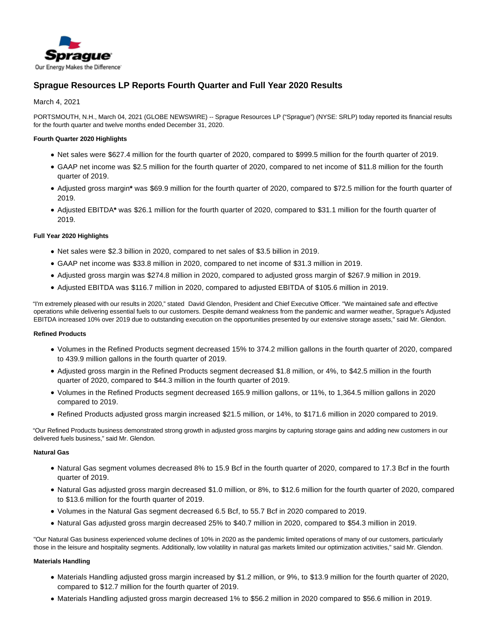

# **Sprague Resources LP Reports Fourth Quarter and Full Year 2020 Results**

March 4, 2021

PORTSMOUTH, N.H., March 04, 2021 (GLOBE NEWSWIRE) -- Sprague Resources LP ("Sprague") (NYSE: SRLP) today reported its financial results for the fourth quarter and twelve months ended December 31, 2020.

# **Fourth Quarter 2020 Highlights**

- Net sales were \$627.4 million for the fourth quarter of 2020, compared to \$999.5 million for the fourth quarter of 2019.
- GAAP net income was \$2.5 million for the fourth quarter of 2020, compared to net income of \$11.8 million for the fourth quarter of 2019.
- Adjusted gross margin**\*** was \$69.9 million for the fourth quarter of 2020, compared to \$72.5 million for the fourth quarter of 2019.
- Adjusted EBITDA**\*** was \$26.1 million for the fourth quarter of 2020, compared to \$31.1 million for the fourth quarter of 2019.

## **Full Year 2020 Highlights**

- Net sales were \$2.3 billion in 2020, compared to net sales of \$3.5 billion in 2019.
- GAAP net income was \$33.8 million in 2020, compared to net income of \$31.3 million in 2019.
- Adjusted gross margin was \$274.8 million in 2020, compared to adjusted gross margin of \$267.9 million in 2019.
- Adjusted EBITDA was \$116.7 million in 2020, compared to adjusted EBITDA of \$105.6 million in 2019.

"I'm extremely pleased with our results in 2020," stated David Glendon, President and Chief Executive Officer. "We maintained safe and effective operations while delivering essential fuels to our customers. Despite demand weakness from the pandemic and warmer weather, Sprague's Adjusted EBITDA increased 10% over 2019 due to outstanding execution on the opportunities presented by our extensive storage assets," said Mr. Glendon.

## **Refined Products**

- Volumes in the Refined Products segment decreased 15% to 374.2 million gallons in the fourth quarter of 2020, compared to 439.9 million gallons in the fourth quarter of 2019.
- Adjusted gross margin in the Refined Products segment decreased \$1.8 million, or 4%, to \$42.5 million in the fourth quarter of 2020, compared to \$44.3 million in the fourth quarter of 2019.
- Volumes in the Refined Products segment decreased 165.9 million gallons, or 11%, to 1,364.5 million gallons in 2020 compared to 2019.
- Refined Products adjusted gross margin increased \$21.5 million, or 14%, to \$171.6 million in 2020 compared to 2019.

"Our Refined Products business demonstrated strong growth in adjusted gross margins by capturing storage gains and adding new customers in our delivered fuels business," said Mr. Glendon.

## **Natural Gas**

- Natural Gas segment volumes decreased 8% to 15.9 Bcf in the fourth quarter of 2020, compared to 17.3 Bcf in the fourth quarter of 2019.
- Natural Gas adjusted gross margin decreased \$1.0 million, or 8%, to \$12.6 million for the fourth quarter of 2020, compared to \$13.6 million for the fourth quarter of 2019.
- Volumes in the Natural Gas segment decreased 6.5 Bcf, to 55.7 Bcf in 2020 compared to 2019.
- Natural Gas adjusted gross margin decreased 25% to \$40.7 million in 2020, compared to \$54.3 million in 2019.

"Our Natural Gas business experienced volume declines of 10% in 2020 as the pandemic limited operations of many of our customers, particularly those in the leisure and hospitality segments. Additionally, low volatility in natural gas markets limited our optimization activities," said Mr. Glendon.

## **Materials Handling**

- Materials Handling adjusted gross margin increased by \$1.2 million, or 9%, to \$13.9 million for the fourth quarter of 2020, compared to \$12.7 million for the fourth quarter of 2019.
- Materials Handling adjusted gross margin decreased 1% to \$56.2 million in 2020 compared to \$56.6 million in 2019.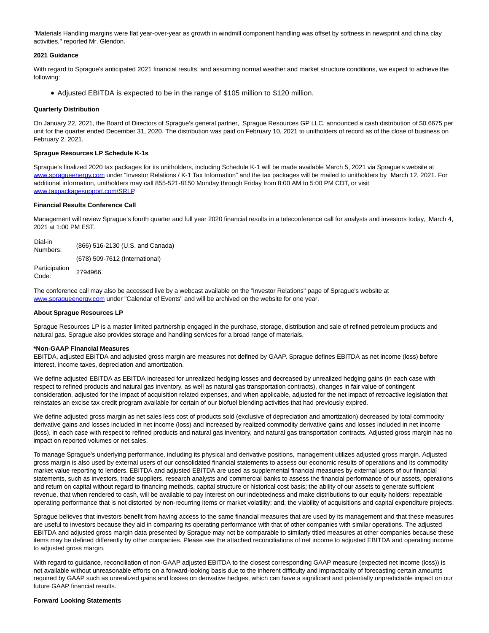"Materials Handling margins were flat year-over-year as growth in windmill component handling was offset by softness in newsprint and china clay activities," reported Mr. Glendon.

### **2021 Guidance**

With regard to Sprague's anticipated 2021 financial results, and assuming normal weather and market structure conditions, we expect to achieve the following:

Adjusted EBITDA is expected to be in the range of \$105 million to \$120 million.

#### **Quarterly Distribution**

On January 22, 2021, the Board of Directors of Sprague's general partner, Sprague Resources GP LLC, announced a cash distribution of \$0.6675 per unit for the quarter ended December 31, 2020. The distribution was paid on February 10, 2021 to unitholders of record as of the close of business on February 2, 2021.

#### **Sprague Resources LP Schedule K-1s**

Sprague's finalized 2020 tax packages for its unitholders, including Schedule K-1 will be made available March 5, 2021 via Sprague's website at [www.spragueenergy.com u](http://www.spragueenergy.com/)nder "Investor Relations / K-1 Tax Information" and the tax packages will be mailed to unitholders by March 12, 2021. For additional information, unitholders may call 855-521-8150 Monday through Friday from 8:00 AM to 5:00 PM CDT, or visit [www.taxpackagesupport.com/SRLP.](http://www.taxpackagesupport.com/SRLP)

#### **Financial Results Conference Call**

Management will review Sprague's fourth quarter and full year 2020 financial results in a teleconference call for analysts and investors today, March 4, 2021 at 1:00 PM EST.

| Dial-in<br>Numbers:    | (866) 516-2130 (U.S. and Canada) |
|------------------------|----------------------------------|
|                        | (678) 509-7612 (International)   |
| Participation<br>Code: | 2794966                          |

The conference call may also be accessed live by a webcast available on the "Investor Relations" page of Sprague's website at [www.spragueenergy.com u](http://www.spragueenergy.com/)nder "Calendar of Events" and will be archived on the website for one year.

#### **About Sprague Resources LP**

Sprague Resources LP is a master limited partnership engaged in the purchase, storage, distribution and sale of refined petroleum products and natural gas. Sprague also provides storage and handling services for a broad range of materials.

#### **\*Non-GAAP Financial Measures**

EBITDA, adjusted EBITDA and adjusted gross margin are measures not defined by GAAP. Sprague defines EBITDA as net income (loss) before interest, income taxes, depreciation and amortization.

We define adjusted EBITDA as EBITDA increased for unrealized hedging losses and decreased by unrealized hedging gains (in each case with respect to refined products and natural gas inventory, as well as natural gas transportation contracts), changes in fair value of contingent consideration, adjusted for the impact of acquisition related expenses, and when applicable, adjusted for the net impact of retroactive legislation that reinstates an excise tax credit program available for certain of our biofuel blending activities that had previously expired.

We define adjusted gross margin as net sales less cost of products sold (exclusive of depreciation and amortization) decreased by total commodity derivative gains and losses included in net income (loss) and increased by realized commodity derivative gains and losses included in net income (loss), in each case with respect to refined products and natural gas inventory, and natural gas transportation contracts. Adjusted gross margin has no impact on reported volumes or net sales.

To manage Sprague's underlying performance, including its physical and derivative positions, management utilizes adjusted gross margin. Adjusted gross margin is also used by external users of our consolidated financial statements to assess our economic results of operations and its commodity market value reporting to lenders. EBITDA and adjusted EBITDA are used as supplemental financial measures by external users of our financial statements, such as investors, trade suppliers, research analysts and commercial banks to assess the financial performance of our assets, operations and return on capital without regard to financing methods, capital structure or historical cost basis; the ability of our assets to generate sufficient revenue, that when rendered to cash, will be available to pay interest on our indebtedness and make distributions to our equity holders; repeatable operating performance that is not distorted by non-recurring items or market volatility; and, the viability of acquisitions and capital expenditure projects.

Sprague believes that investors benefit from having access to the same financial measures that are used by its management and that these measures are useful to investors because they aid in comparing its operating performance with that of other companies with similar operations. The adjusted EBITDA and adjusted gross margin data presented by Sprague may not be comparable to similarly titled measures at other companies because these items may be defined differently by other companies. Please see the attached reconciliations of net income to adjusted EBITDA and operating income to adjusted gross margin.

With regard to guidance, reconciliation of non-GAAP adjusted EBITDA to the closest corresponding GAAP measure (expected net income (loss)) is not available without unreasonable efforts on a forward-looking basis due to the inherent difficulty and impracticality of forecasting certain amounts required by GAAP such as unrealized gains and losses on derivative hedges, which can have a significant and potentially unpredictable impact on our future GAAP financial results.

#### **Forward Looking Statements**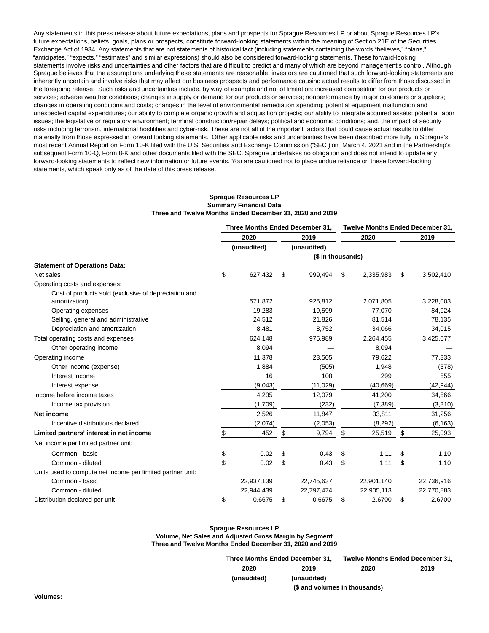Any statements in this press release about future expectations, plans and prospects for Sprague Resources LP or about Sprague Resources LP's future expectations, beliefs, goals, plans or prospects, constitute forward-looking statements within the meaning of Section 21E of the Securities Exchange Act of 1934. Any statements that are not statements of historical fact (including statements containing the words "believes," "plans," "anticipates," "expects," "estimates" and similar expressions) should also be considered forward-looking statements. These forward-looking statements involve risks and uncertainties and other factors that are difficult to predict and many of which are beyond management's control. Although Sprague believes that the assumptions underlying these statements are reasonable, investors are cautioned that such forward-looking statements are inherently uncertain and involve risks that may affect our business prospects and performance causing actual results to differ from those discussed in the foregoing release. Such risks and uncertainties include, by way of example and not of limitation: increased competition for our products or services; adverse weather conditions; changes in supply or demand for our products or services; nonperformance by major customers or suppliers; changes in operating conditions and costs; changes in the level of environmental remediation spending; potential equipment malfunction and unexpected capital expenditures; our ability to complete organic growth and acquisition projects; our ability to integrate acquired assets; potential labor issues; the legislative or regulatory environment; terminal construction/repair delays; political and economic conditions; and, the impact of security risks including terrorism, international hostilities and cyber-risk. These are not all of the important factors that could cause actual results to differ materially from those expressed in forward looking statements. Other applicable risks and uncertainties have been described more fully in Sprague's most recent Annual Report on Form 10-K filed with the U.S. Securities and Exchange Commission ("SEC") on March 4, 2021 and in the Partnership's subsequent Form 10-Q, Form 8-K and other documents filed with the SEC. Sprague undertakes no obligation and does not intend to update any forward-looking statements to reflect new information or future events. You are cautioned not to place undue reliance on these forward-looking statements, which speak only as of the date of this press release.

#### **Sprague Resources LP Summary Financial Data Three and Twelve Months Ended December 31, 2020 and 2019**

|                                                                       | Three Months Ended December 31, |             |                   |             | Twelve Months Ended December 31, |            |    |            |
|-----------------------------------------------------------------------|---------------------------------|-------------|-------------------|-------------|----------------------------------|------------|----|------------|
|                                                                       | 2020                            |             |                   | 2019        |                                  | 2020       |    | 2019       |
|                                                                       |                                 | (unaudited) |                   | (unaudited) |                                  |            |    |            |
|                                                                       |                                 |             | (\$ in thousands) |             |                                  |            |    |            |
| <b>Statement of Operations Data:</b>                                  |                                 |             |                   |             |                                  |            |    |            |
| Net sales                                                             | \$                              | 627,432     | \$                | 999,494     | \$                               | 2,335,983  | \$ | 3,502,410  |
| Operating costs and expenses:                                         |                                 |             |                   |             |                                  |            |    |            |
| Cost of products sold (exclusive of depreciation and<br>amortization) |                                 | 571,872     |                   | 925,812     |                                  | 2,071,805  |    | 3,228,003  |
| Operating expenses                                                    |                                 | 19,283      |                   | 19,599      |                                  | 77,070     |    | 84,924     |
| Selling, general and administrative                                   |                                 | 24,512      |                   | 21,826      |                                  | 81,514     |    | 78,135     |
| Depreciation and amortization                                         |                                 | 8,481       |                   | 8,752       |                                  | 34,066     |    | 34,015     |
| Total operating costs and expenses                                    |                                 | 624,148     |                   | 975,989     |                                  | 2,264,455  |    | 3,425,077  |
| Other operating income                                                |                                 | 8,094       |                   |             |                                  | 8,094      |    |            |
| Operating income                                                      |                                 | 11,378      |                   | 23,505      |                                  | 79,622     |    | 77,333     |
| Other income (expense)                                                |                                 | 1,884       |                   | (505)       |                                  | 1,948      |    | (378)      |
| Interest income                                                       |                                 | 16          |                   | 108         |                                  | 299        |    | 555        |
| Interest expense                                                      |                                 | (9,043)     |                   | (11, 029)   |                                  | (40, 669)  |    | (42,944)   |
| Income before income taxes                                            |                                 | 4,235       |                   | 12,079      |                                  | 41,200     |    | 34,566     |
| Income tax provision                                                  |                                 | (1,709)     |                   | (232)       |                                  | (7, 389)   |    | (3,310)    |
| Net income                                                            |                                 | 2,526       |                   | 11,847      |                                  | 33,811     |    | 31,256     |
| Incentive distributions declared                                      |                                 | (2,074)     |                   | (2,053)     |                                  | (8,292)    |    | (6, 163)   |
| Limited partners' interest in net income                              | \$                              | 452         | \$                | 9,794       | \$                               | 25,519     | \$ | 25,093     |
| Net income per limited partner unit:                                  |                                 |             |                   |             |                                  |            |    |            |
| Common - basic                                                        | \$                              | 0.02        | \$                | 0.43        | \$                               | 1.11       | \$ | 1.10       |
| Common - diluted                                                      | \$                              | 0.02        | \$                | 0.43        | \$                               | 1.11       | \$ | 1.10       |
| Units used to compute net income per limited partner unit:            |                                 |             |                   |             |                                  |            |    |            |
| Common - basic                                                        |                                 | 22,937,139  |                   | 22,745,637  |                                  | 22,901,140 |    | 22,736,916 |
| Common - diluted                                                      |                                 | 22,944,439  |                   | 22,797,474  |                                  | 22,905,113 |    | 22,770,883 |
| Distribution declared per unit                                        | \$                              | 0.6675      | \$                | 0.6675      | \$                               | 2.6700     | \$ | 2.6700     |

**Sprague Resources LP Volume, Net Sales and Adjusted Gross Margin by Segment Three and Twelve Months Ended December 31, 2020 and 2019**

|             | Three Months Ended December 31, | <b>Twelve Months Ended December 31,</b> |      |  |  |  |
|-------------|---------------------------------|-----------------------------------------|------|--|--|--|
| 2020        | 2019                            | 2020                                    | 2019 |  |  |  |
| (unaudited) | (unaudited)                     |                                         |      |  |  |  |
|             |                                 | (\$ and volumes in thousands)           |      |  |  |  |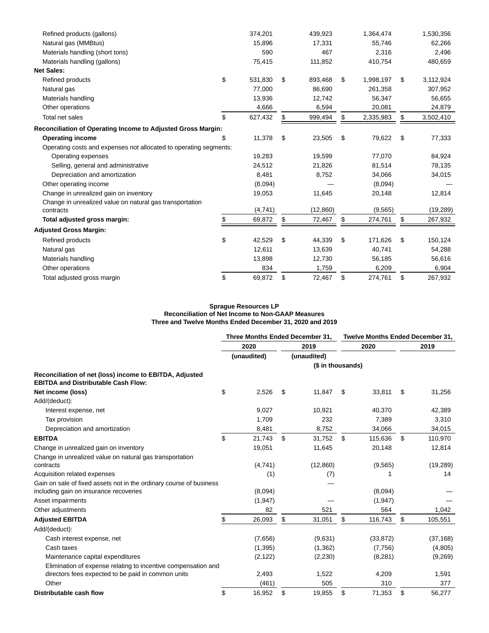| Refined products (gallons)                                        | 374,201       | 439,923       | 1,364,474       | 1,530,356       |
|-------------------------------------------------------------------|---------------|---------------|-----------------|-----------------|
| Natural gas (MMBtus)                                              | 15,896        | 17,331        | 55,746          | 62,266          |
| Materials handling (short tons)                                   | 590           | 467           | 2,316           | 2,496           |
| Materials handling (gallons)                                      | 75,415        | 111,852       | 410,754         | 480,659         |
| <b>Net Sales:</b>                                                 |               |               |                 |                 |
| Refined products                                                  | \$<br>531,830 | \$<br>893,468 | \$<br>1,998,197 | \$<br>3,112,924 |
| Natural gas                                                       | 77,000        | 86,690        | 261,358         | 307,952         |
| Materials handling                                                | 13,936        | 12,742        | 56,347          | 56,655          |
| Other operations                                                  | 4,666         | 6,594         | 20,081          | 24,879          |
| Total net sales                                                   | \$<br>627,432 | \$<br>999,494 | \$<br>2,335,983 | \$<br>3,502,410 |
| Reconciliation of Operating Income to Adjusted Gross Margin:      |               |               |                 |                 |
| <b>Operating income</b>                                           | \$<br>11,378  | \$<br>23,505  | \$<br>79,622    | \$<br>77,333    |
| Operating costs and expenses not allocated to operating segments: |               |               |                 |                 |
| Operating expenses                                                | 19,283        | 19,599        | 77,070          | 84,924          |
| Selling, general and administrative                               | 24,512        | 21,826        | 81,514          | 78,135          |
| Depreciation and amortization                                     | 8,481         | 8,752         | 34,066          | 34,015          |
| Other operating income                                            | (8,094)       |               | (8,094)         |                 |
| Change in unrealized gain on inventory                            | 19,053        | 11,645        | 20,148          | 12,814          |
| Change in unrealized value on natural gas transportation          |               |               |                 |                 |
| contracts                                                         | (4,741)       | (12,860)      | (9, 565)        | (19,289)        |
| Total adjusted gross margin:                                      | \$<br>69,872  | \$<br>72,467  | \$<br>274,761   | \$<br>267,932   |
| <b>Adjusted Gross Margin:</b>                                     |               |               |                 |                 |
| Refined products                                                  | \$<br>42,529  | \$<br>44,339  | \$<br>171,626   | \$<br>150,124   |
| Natural gas                                                       | 12,611        | 13,639        | 40,741          | 54,288          |
| Materials handling                                                | 13,898        | 12,730        | 56,185          | 56,616          |
| Other operations                                                  | 834           | 1,759         | 6,209           | 6,904           |
| Total adjusted gross margin                                       | \$<br>69,872  | \$<br>72,467  | \$<br>274,761   | \$<br>267,932   |

#### **Sprague Resources LP Reconciliation of Net Income to Non-GAAP Measures Three and Twelve Months Ended December 31, 2020 and 2019**

|                                                                                                       | Three Months Ended December 31, |             |      |             | Twelve Months Ended December 31, |           |    |           |
|-------------------------------------------------------------------------------------------------------|---------------------------------|-------------|------|-------------|----------------------------------|-----------|----|-----------|
|                                                                                                       | 2020                            |             | 2019 |             | 2020                             |           |    | 2019      |
|                                                                                                       |                                 | (unaudited) |      | (unaudited) |                                  |           |    |           |
|                                                                                                       |                                 |             |      |             | (\$ in thousands)                |           |    |           |
| Reconciliation of net (loss) income to EBITDA, Adjusted<br><b>EBITDA and Distributable Cash Flow:</b> |                                 |             |      |             |                                  |           |    |           |
| Net income (loss)                                                                                     | \$                              | 2,526       | \$   | 11,847      | \$                               | 33,811    | \$ | 31,256    |
| Add/(deduct):                                                                                         |                                 |             |      |             |                                  |           |    |           |
| Interest expense, net                                                                                 |                                 | 9,027       |      | 10,921      |                                  | 40,370    |    | 42,389    |
| Tax provision                                                                                         |                                 | 1,709       |      | 232         |                                  | 7,389     |    | 3,310     |
| Depreciation and amortization                                                                         |                                 | 8,481       |      | 8,752       |                                  | 34,066    |    | 34,015    |
| <b>EBITDA</b>                                                                                         | \$                              | 21,743      | \$   | 31,752      | \$                               | 115,636   | \$ | 110,970   |
| Change in unrealized gain on inventory                                                                |                                 | 19,051      |      | 11,645      |                                  | 20,148    |    | 12,814    |
| Change in unrealized value on natural gas transportation                                              |                                 |             |      |             |                                  |           |    |           |
| contracts                                                                                             |                                 | (4,741)     |      | (12,860)    |                                  | (9, 565)  |    | (19, 289) |
| Acquisition related expenses                                                                          |                                 | (1)         |      | (7)         |                                  |           |    | 14        |
| Gain on sale of fixed assets not in the ordinary course of business                                   |                                 |             |      |             |                                  |           |    |           |
| including gain on insurance recoveries                                                                |                                 | (8,094)     |      |             |                                  | (8,094)   |    |           |
| Asset impairments                                                                                     |                                 | (1, 947)    |      |             |                                  | (1, 947)  |    |           |
| Other adjustments                                                                                     |                                 | 82          |      | 521         |                                  | 564       |    | 1,042     |
| <b>Adjusted EBITDA</b>                                                                                | \$                              | 26,093      | \$   | 31,051      | \$                               | 116,743   | \$ | 105,551   |
| Add/(deduct):                                                                                         |                                 |             |      |             |                                  |           |    |           |
| Cash interest expense, net                                                                            |                                 | (7,656)     |      | (9,631)     |                                  | (33, 872) |    | (37, 168) |
| Cash taxes                                                                                            |                                 | (1, 395)    |      | (1, 362)    |                                  | (7,756)   |    | (4,805)   |
| Maintenance capital expenditures                                                                      |                                 | (2, 122)    |      | (2,230)     |                                  | (8, 281)  |    | (9,269)   |
| Elimination of expense relating to incentive compensation and                                         |                                 |             |      |             |                                  |           |    |           |
| directors fees expected to be paid in common units                                                    |                                 | 2,493       |      | 1,522       |                                  | 4,209     |    | 1,591     |
| Other                                                                                                 |                                 | (461)       |      | 505         |                                  | 310       |    | 377       |
| Distributable cash flow                                                                               | \$                              | 16,952      | \$   | 19,855      | \$                               | 71,353    | \$ | 56,277    |